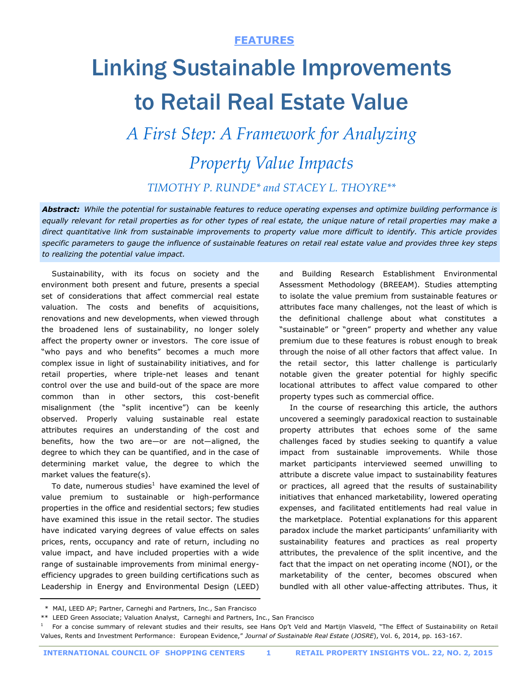# Linking Sustainable Improvements to Retail Real Estate Value

*A First Step: A Framework for Analyzing* 

# *Property Value Impacts*

## *TIMOTHY P. RUNDE\* and STACEY L. THOYRE\*\**

*Abstract: While the potential for sustainable features to reduce operating expenses and optimize building performance is equally relevant for retail properties as for other types of real estate, the unique nature of retail properties may make a direct quantitative link from sustainable improvements to property value more difficult to identify. This article provides specific parameters to gauge the influence of sustainable features on retail real estate value and provides three key steps to realizing the potential value impact.* 

 Sustainability, with its focus on society and the environment both present and future, presents a special set of considerations that affect commercial real estate valuation. The costs and benefits of acquisitions, renovations and new developments, when viewed through the broadened lens of sustainability, no longer solely affect the property owner or investors. The core issue of "who pays and who benefits" becomes a much more complex issue in light of sustainability initiatives, and for retail properties, where triple-net leases and tenant control over the use and build-out of the space are more common than in other sectors, this cost-benefit misalignment (the "split incentive") can be keenly observed. Properly valuing sustainable real estate attributes requires an understanding of the cost and benefits, how the two are—or are not—aligned, the degree to which they can be quantified, and in the case of determining market value, the degree to which the market values the feature(s).

To date, numerous studies $1$  have examined the level of value premium to sustainable or high-performance properties in the office and residential sectors; few studies have examined this issue in the retail sector. The studies have indicated varying degrees of value effects on sales prices, rents, occupancy and rate of return, including no value impact, and have included properties with a wide range of sustainable improvements from minimal energyefficiency upgrades to green building certifications such as Leadership in Energy and Environmental Design (LEED)

and Building Research Establishment Environmental Assessment Methodology (BREEAM). Studies attempting to isolate the value premium from sustainable features or attributes face many challenges, not the least of which is the definitional challenge about what constitutes a "sustainable" or "green" property and whether any value premium due to these features is robust enough to break through the noise of all other factors that affect value. In the retail sector, this latter challenge is particularly notable given the greater potential for highly specific locational attributes to affect value compared to other property types such as commercial office.

 In the course of researching this article, the authors uncovered a seemingly paradoxical reaction to sustainable property attributes that echoes some of the same challenges faced by studies seeking to quantify a value impact from sustainable improvements. While those market participants interviewed seemed unwilling to attribute a discrete value impact to sustainability features or practices, all agreed that the results of sustainability initiatives that enhanced marketability, lowered operating expenses, and facilitated entitlements had real value in the marketplace. Potential explanations for this apparent paradox include the market participants' unfamiliarity with sustainability features and practices as real property attributes, the prevalence of the split incentive, and the fact that the impact on net operating income (NOI), or the marketability of the center, becomes obscured when bundled with all other value-affecting attributes. Thus, it

\* MAI, LEED AP; Partner, Carneghi and Partners, Inc., San Francisco

<sup>\*\*</sup> LEED Green Associate; Valuation Analyst, Carneghi and Partners, Inc., San Francisco

<sup>1</sup> For a concise summary of relevant studies and their results, see Hans Op't Veld and Martijn Vlasveld, "The Effect of Sustainability on Retail Values, Rents and Investment Performance: European Evidence," *Journal of Sustainable Real Estate* (*JOSRE*), Vol. 6, 2014, pp. 163-167.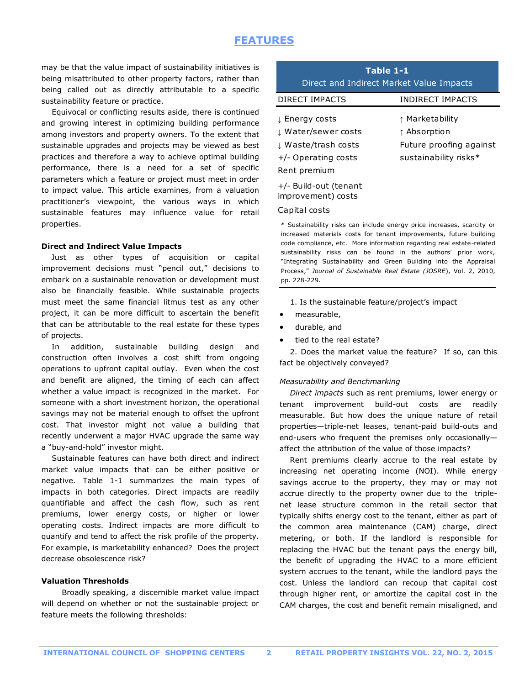may be that the value impact of sustainability initiatives is being misattributed to other property factors, rather than being called out as directly attributable to a specific sustainability feature or practice.

 Equivocal or conflicting results aside, there is continued and growing interest in optimizing building performance among investors and property owners. To the extent that sustainable upgrades and projects may be viewed as best practices and therefore a way to achieve optimal building performance, there is a need for a set of specific parameters which a feature or project must meet in order to impact value. This article examines, from a valuation practitioner's viewpoint, the various ways in which sustainable features may influence value for retail properties.

#### **Direct and Indirect Value Impacts**

Just as other types of acquisition or capital improvement decisions must "pencil out," decisions to embark on a sustainable renovation or development must also be financially feasible. While sustainable projects must meet the same financial litmus test as any other project, it can be more difficult to ascertain the benefit that can be attributable to the real estate for these types of projects.

 In addition, sustainable building design and construction often involves a cost shift from ongoing operations to upfront capital outlay. Even when the cost and benefit are aligned, the timing of each can affect whether a value impact is recognized in the market. For someone with a short investment horizon, the operational savings may not be material enough to offset the upfront cost. That investor might not value a building that recently underwent a major HVAC upgrade the same way a "buy-and-hold" investor might.

 Sustainable features can have both direct and indirect market value impacts that can be either positive or negative. Table 1-1 summarizes the main types of impacts in both categories. Direct impacts are readily quantifiable and affect the cash flow, such as rent premiums, lower energy costs, or higher or lower operating costs. Indirect impacts are more difficult to quantify and tend to affect the risk profile of the property. For example, is marketability enhanced? Does the project decrease obsolescence risk?

#### **Valuation Thresholds**

Broadly speaking, a discernible market value impact will depend on whether or not the sustainable project or feature meets the following thresholds:

| Table 1-1<br>Direct and Indirect Market Value Impacts                                               |                                                                                              |
|-----------------------------------------------------------------------------------------------------|----------------------------------------------------------------------------------------------|
| <b>DIRECT IMPACTS</b>                                                                               | <b>INDIRECT IMPACTS</b>                                                                      |
| L Energy costs<br>↓ Water/sewer costs<br>↓ Waste/trash costs<br>+/- Operating costs<br>Rent premium | ↑ Marketability<br>$\uparrow$ Absorption<br>Future proofing against<br>sustainability risks* |
|                                                                                                     |                                                                                              |

+/- Build-out (tenant improvement) costs

#### Capital costs

\* Sustainability risks can include energy price increases, scarcity or increased materials costs for tenant improvements, future building code compliance, etc. More information regarding real estate-related sustainability risks can be found in the authors' prior work, "Integrating Sustainability and Green Building into the Appraisal Process," *Journal of Sustainable Real Estate (JOSRE*), Vol. 2, 2010, pp. 228-229.

- 1. Is the sustainable feature/project's impact
- measurable,
- durable, and
- tied to the real estate?

 2. Does the market value the feature? If so, can this fact be objectively conveyed?

#### *Measurability and Benchmarking*

 *Direct impacts* such as rent premiums, lower energy or tenant improvement build-out costs are readily measurable. But how does the unique nature of retail properties—triple-net leases, tenant-paid build-outs and end-users who frequent the premises only occasionally affect the attribution of the value of those impacts?

 Rent premiums clearly accrue to the real estate by increasing net operating income (NOI). While energy savings accrue to the property, they may or may not accrue directly to the property owner due to the triplenet lease structure common in the retail sector that typically shifts energy cost to the tenant, either as part of the common area maintenance (CAM) charge, direct metering, or both. If the landlord is responsible for replacing the HVAC but the tenant pays the energy bill, the benefit of upgrading the HVAC to a more efficient system accrues to the tenant, while the landlord pays the cost. Unless the landlord can recoup that capital cost through higher rent, or amortize the capital cost in the CAM charges, the cost and benefit remain misaligned, and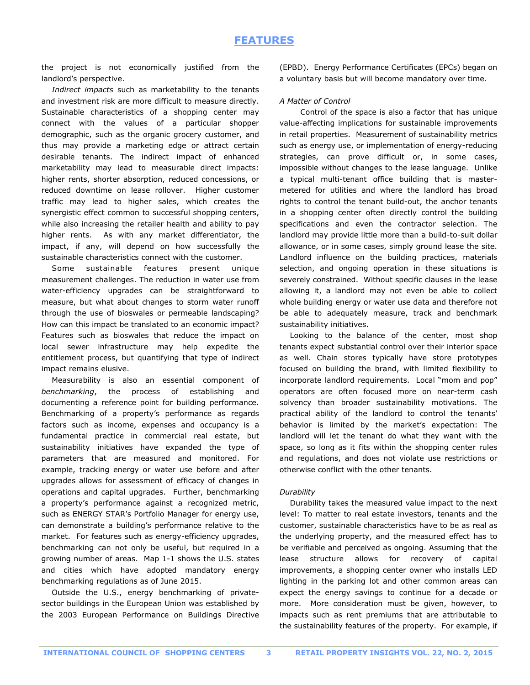the project is not economically justified from the landlord's perspective.

 *Indirect impacts* such as marketability to the tenants and investment risk are more difficult to measure directly. Sustainable characteristics of a shopping center may connect with the values of a particular shopper demographic, such as the organic grocery customer, and thus may provide a marketing edge or attract certain desirable tenants. The indirect impact of enhanced marketability may lead to measurable direct impacts: higher rents, shorter absorption, reduced concessions, or reduced downtime on lease rollover. Higher customer traffic may lead to higher sales, which creates the synergistic effect common to successful shopping centers, while also increasing the retailer health and ability to pay higher rents. As with any market differentiator, the impact, if any, will depend on how successfully the sustainable characteristics connect with the customer.

 Some sustainable features present unique measurement challenges. The reduction in water use from water-efficiency upgrades can be straightforward to measure, but what about changes to storm water runoff through the use of bioswales or permeable landscaping? How can this impact be translated to an economic impact? Features such as bioswales that reduce the impact on local sewer infrastructure may help expedite the entitlement process, but quantifying that type of indirect impact remains elusive.

 Measurability is also an essential component of *benchmarking*, the process of establishing and documenting a reference point for building performance. Benchmarking of a property's performance as regards factors such as income, expenses and occupancy is a fundamental practice in commercial real estate, but sustainability initiatives have expanded the type of parameters that are measured and monitored. For example, tracking energy or water use before and after upgrades allows for assessment of efficacy of changes in operations and capital upgrades. Further, benchmarking a property's performance against a recognized metric, such as ENERGY STAR's Portfolio Manager for energy use, can demonstrate a building's performance relative to the market. For features such as energy-efficiency upgrades, benchmarking can not only be useful, but required in a growing number of areas. Map 1-1 shows the U.S. states and cities which have adopted mandatory energy benchmarking regulations as of June 2015.

 Outside the U.S., energy benchmarking of privatesector buildings in the European Union was established by the 2003 European Performance on Buildings Directive

(EPBD). Energy Performance Certificates (EPCs) began on a voluntary basis but will become mandatory over time.

#### *A Matter of Control*

Control of the space is also a factor that has unique value-affecting implications for sustainable improvements in retail properties. Measurement of sustainability metrics such as energy use, or implementation of energy-reducing strategies, can prove difficult or, in some cases, impossible without changes to the lease language. Unlike a typical multi-tenant office building that is mastermetered for utilities and where the landlord has broad rights to control the tenant build-out, the anchor tenants in a shopping center often directly control the building specifications and even the contractor selection. The landlord may provide little more than a build-to-suit dollar allowance, or in some cases, simply ground lease the site. Landlord influence on the building practices, materials selection, and ongoing operation in these situations is severely constrained. Without specific clauses in the lease allowing it, a landlord may not even be able to collect whole building energy or water use data and therefore not be able to adequately measure, track and benchmark sustainability initiatives.

 Looking to the balance of the center, most shop tenants expect substantial control over their interior space as well. Chain stores typically have store prototypes focused on building the brand, with limited flexibility to incorporate landlord requirements. Local "mom and pop" operators are often focused more on near-term cash solvency than broader sustainability motivations. The practical ability of the landlord to control the tenants' behavior is limited by the market's expectation: The landlord will let the tenant do what they want with the space, so long as it fits within the shopping center rules and regulations, and does not violate use restrictions or otherwise conflict with the other tenants.

#### *Durability*

 Durability takes the measured value impact to the next level: To matter to real estate investors, tenants and the customer, sustainable characteristics have to be as real as the underlying property, and the measured effect has to be verifiable and perceived as ongoing. Assuming that the lease structure allows for recovery of capital improvements, a shopping center owner who installs LED lighting in the parking lot and other common areas can expect the energy savings to continue for a decade or more. More consideration must be given, however, to impacts such as rent premiums that are attributable to the sustainability features of the property. For example, if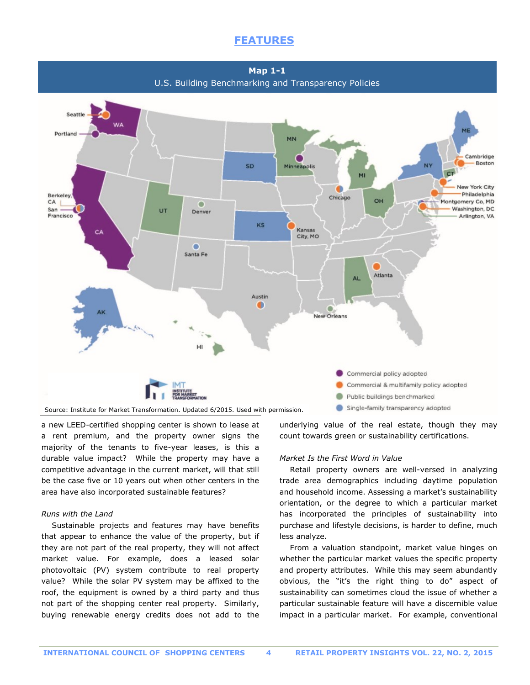**Map 1-1** U.S. Building Benchmarking and Transparency Policies



a new LEED-certified shopping center is shown to lease at a rent premium, and the property owner signs the majority of the tenants to five-year leases, is this a durable value impact? While the property may have a competitive advantage in the current market, will that still be the case five or 10 years out when other centers in the area have also incorporated sustainable features?

#### *Runs with the Land*

 Sustainable projects and features may have benefits that appear to enhance the value of the property, but if they are not part of the real property, they will not affect market value. For example, does a leased solar photovoltaic (PV) system contribute to real property value? While the solar PV system may be affixed to the roof, the equipment is owned by a third party and thus not part of the shopping center real property. Similarly, buying renewable energy credits does not add to the

underlying value of the real estate, though they may count towards green or sustainability certifications.

#### *Market Is the First Word in Value*

 Retail property owners are well-versed in analyzing trade area demographics including daytime population and household income. Assessing a market's sustainability orientation, or the degree to which a particular market has incorporated the principles of sustainability into purchase and lifestyle decisions, is harder to define, much less analyze.

 From a valuation standpoint, market value hinges on whether the particular market values the specific property and property attributes. While this may seem abundantly obvious, the "it's the right thing to do" aspect of sustainability can sometimes cloud the issue of whether a particular sustainable feature will have a discernible value impact in a particular market. For example, conventional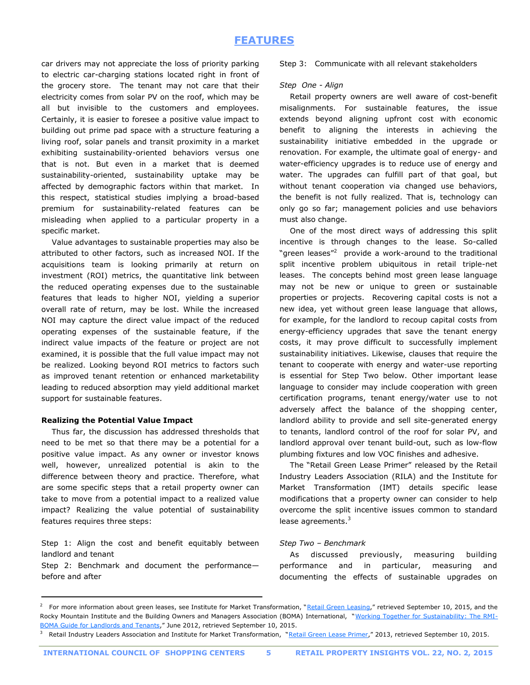car drivers may not appreciate the loss of priority parking to electric car-charging stations located right in front of the grocery store. The tenant may not care that their electricity comes from solar PV on the roof, which may be all but invisible to the customers and employees. Certainly, it is easier to foresee a positive value impact to building out prime pad space with a structure featuring a living roof, solar panels and transit proximity in a market exhibiting sustainability-oriented behaviors versus one that is not. But even in a market that is deemed sustainability-oriented, sustainability uptake may be affected by demographic factors within that market. In this respect, statistical studies implying a broad-based premium for sustainability-related features can be misleading when applied to a particular property in a specific market.

 Value advantages to sustainable properties may also be attributed to other factors, such as increased NOI. If the acquisitions team is looking primarily at return on investment (ROI) metrics, the quantitative link between the reduced operating expenses due to the sustainable features that leads to higher NOI, yielding a superior overall rate of return, may be lost. While the increased NOI may capture the direct value impact of the reduced operating expenses of the sustainable feature, if the indirect value impacts of the feature or project are not examined, it is possible that the full value impact may not be realized. Looking beyond ROI metrics to factors such as improved tenant retention or enhanced marketability leading to reduced absorption may yield additional market support for sustainable features.

#### **Realizing the Potential Value Impact**

 Thus far, the discussion has addressed thresholds that need to be met so that there may be a potential for a positive value impact. As any owner or investor knows well, however, unrealized potential is akin to the difference between theory and practice. Therefore, what are some specific steps that a retail property owner can take to move from a potential impact to a realized value impact? Realizing the value potential of sustainability features requires three steps:

Step 1: Align the cost and benefit equitably between landlord and tenant

Step 2: Benchmark and document the performance before and after

Step 3: Communicate with all relevant stakeholders

#### *Step One - Align*

 Retail property owners are well aware of cost-benefit misalignments. For sustainable features, the issue extends beyond aligning upfront cost with economic benefit to aligning the interests in achieving the sustainability initiative embedded in the upgrade or renovation. For example, the ultimate goal of energy- and water-efficiency upgrades is to reduce use of energy and water. The upgrades can fulfill part of that goal, but without tenant cooperation via changed use behaviors, the benefit is not fully realized. That is, technology can only go so far; management policies and use behaviors must also change.

 One of the most direct ways of addressing this split incentive is through changes to the lease. So-called "green leases"<sup>2</sup> provide a work-around to the traditional split incentive problem ubiquitous in retail triple-net leases. The concepts behind most green lease language may not be new or unique to green or sustainable properties or projects. Recovering capital costs is not a new idea, yet without green lease language that allows, for example, for the landlord to recoup capital costs from energy-efficiency upgrades that save the tenant energy costs, it may prove difficult to successfully implement sustainability initiatives. Likewise, clauses that require the tenant to cooperate with energy and water-use reporting is essential for Step Two below. Other important lease language to consider may include cooperation with green certification programs, tenant energy/water use to not adversely affect the balance of the shopping center, landlord ability to provide and sell site-generated energy to tenants, landlord control of the roof for solar PV, and landlord approval over tenant build-out, such as low-flow plumbing fixtures and low VOC finishes and adhesive.

 The "Retail Green Lease Primer" released by the Retail Industry Leaders Association (RILA) and the Institute for Market Transformation (IMT) details specific lease modifications that a property owner can consider to help overcome the split incentive issues common to standard lease agreements.<sup>3</sup>

#### *Step Two – Benchmark*

 As discussed previously, measuring building performance and in particular, measuring and documenting the effects of sustainable upgrades on

<sup>&</sup>lt;sup>2</sup> For more information about green leases, see Institute for Market Transformation, "[Retail Green Leasing](http://www.greenleaselibrary.com/uploads/7/4/8/7/7487823/retail_green_leasing.pdf)," retrieved September 10, 2015, and the Rocky Mountain Institute and the Building Owners and Managers Association (BOMA) International, "[Working Together for Sustainability: The RMI-](http://www.boma.org/sustainability/info-resources/Documents/WorkingTogetherforSustainability.pdf)[BOMA Guide for Landlords and Tenants](http://www.boma.org/sustainability/info-resources/Documents/WorkingTogetherforSustainability.pdf)," June 2012, retrieved September 10, 2015.

<sup>3</sup> Retail Industry Leaders Association and Institute for Market Transformation, "[Retail Green Lease Primer](http://www.imt.org/uploads/resources/files/Retail_Green_Lease_Primer_-_RILA-IMT.pdf)," 2013, retrieved September 10, 2015.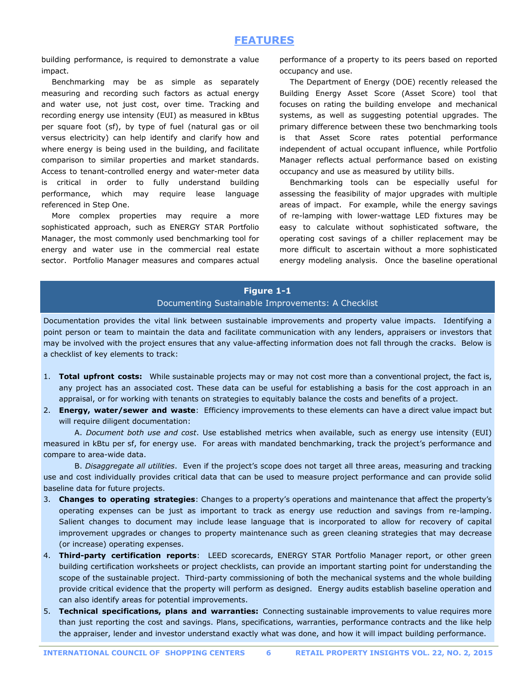building performance, is required to demonstrate a value impact.

 Benchmarking may be as simple as separately measuring and recording such factors as actual energy and water use, not just cost, over time. Tracking and recording energy use intensity (EUI) as measured in kBtus per square foot (sf), by type of fuel (natural gas or oil versus electricity) can help identify and clarify how and where energy is being used in the building, and facilitate comparison to similar properties and market standards. Access to tenant-controlled energy and water-meter data is critical in order to fully understand building performance, which may require lease language referenced in Step One.

 More complex properties may require a more sophisticated approach, such as ENERGY STAR Portfolio Manager, the most commonly used benchmarking tool for energy and water use in the commercial real estate sector. Portfolio Manager measures and compares actual performance of a property to its peers based on reported occupancy and use.

 The Department of Energy (DOE) recently released the Building Energy Asset Score (Asset Score) tool that focuses on rating the building envelope and mechanical systems, as well as suggesting potential upgrades. The primary difference between these two benchmarking tools is that Asset Score rates potential performance independent of actual occupant influence, while Portfolio Manager reflects actual performance based on existing occupancy and use as measured by utility bills.

 Benchmarking tools can be especially useful for assessing the feasibility of major upgrades with multiple areas of impact. For example, while the energy savings of re-lamping with lower-wattage LED fixtures may be easy to calculate without sophisticated software, the operating cost savings of a chiller replacement may be more difficult to ascertain without a more sophisticated energy modeling analysis. Once the baseline operational

### **Figure 1-1** Documenting Sustainable Improvements: A Checklist

Documentation provides the vital link between sustainable improvements and property value impacts. Identifying a point person or team to maintain the data and facilitate communication with any lenders, appraisers or investors that may be involved with the project ensures that any value-affecting information does not fall through the cracks. Below is a checklist of key elements to track:

- 1. **Total upfront costs:** While sustainable projects may or may not cost more than a conventional project, the fact is, any project has an associated cost. These data can be useful for establishing a basis for the cost approach in an appraisal, or for working with tenants on strategies to equitably balance the costs and benefits of a project.
- 2. **Energy, water/sewer and waste**: Efficiency improvements to these elements can have a direct value impact but will require diligent documentation:

A. *Document both use and cost*. Use established metrics when available, such as energy use intensity (EUI) measured in kBtu per sf, for energy use. For areas with mandated benchmarking, track the project's performance and compare to area-wide data.

B. *Disaggregate all utilities*. Even if the project's scope does not target all three areas, measuring and tracking use and cost individually provides critical data that can be used to measure project performance and can provide solid baseline data for future projects.

- 3. **Changes to operating strategies**: Changes to a property's operations and maintenance that affect the property's operating expenses can be just as important to track as energy use reduction and savings from re-lamping. Salient changes to document may include lease language that is incorporated to allow for recovery of capital improvement upgrades or changes to property maintenance such as green cleaning strategies that may decrease (or increase) operating expenses.
- 4. **Third-party certification reports**: LEED scorecards, ENERGY STAR Portfolio Manager report, or other green building certification worksheets or project checklists, can provide an important starting point for understanding the scope of the sustainable project. Third-party commissioning of both the mechanical systems and the whole building provide critical evidence that the property will perform as designed. Energy audits establish baseline operation and can also identify areas for potential improvements.
- 5. **Technical specifications, plans and warranties:** Connecting sustainable improvements to value requires more than just reporting the cost and savings. Plans, specifications, warranties, performance contracts and the like help the appraiser, lender and investor understand exactly what was done, and how it will impact building performance.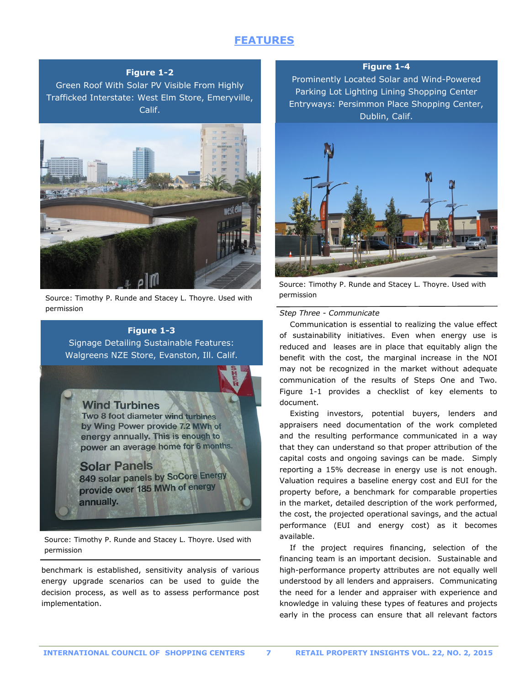#### **Figure 1-2**

Green Roof With Solar PV Visible From Highly Trafficked Interstate: West Elm Store, Emeryville, Calif.



Source: Timothy P. Runde and Stacey L. Thoyre. Used with permission

## **Figure 1-3**

Signage Detailing Sustainable Features: Walgreens NZE Store, Evanston, Ill. Calif.

**Wind Turbines** Two 8 foot diameter wind turbines by Wing Power provide 7.2 MWh of energy annually. This is enough to power an average home for 6 months.

#### **Solar Panels**

849 solar panels by SoCore Energy provide over 185 MWh of energy annually.

Source: Timothy P. Runde and Stacey L. Thoyre. Used with permission

benchmark is established, sensitivity analysis of various energy upgrade scenarios can be used to guide the decision process, as well as to assess performance post implementation.

**Figure 1-4**

Prominently Located Solar and Wind-Powered Parking Lot Lighting Lining Shopping Center Entryways: Persimmon Place Shopping Center, Dublin, Calif.



Source: Timothy P. Runde and Stacey L. Thoyre. Used with permission

#### *Step Three - Communicate*

 Communication is essential to realizing the value effect of sustainability initiatives. Even when energy use is reduced and leases are in place that equitably align the benefit with the cost, the marginal increase in the NOI may not be recognized in the market without adequate communication of the results of Steps One and Two. Figure 1-1 provides a checklist of key elements to document.

 Existing investors, potential buyers, lenders and appraisers need documentation of the work completed and the resulting performance communicated in a way that they can understand so that proper attribution of the capital costs and ongoing savings can be made. Simply reporting a 15% decrease in energy use is not enough. Valuation requires a baseline energy cost and EUI for the property before, a benchmark for comparable properties in the market, detailed description of the work performed, the cost, the projected operational savings, and the actual performance (EUI and energy cost) as it becomes available.

 If the project requires financing, selection of the financing team is an important decision. Sustainable and high-performance property attributes are not equally well understood by all lenders and appraisers. Communicating the need for a lender and appraiser with experience and knowledge in valuing these types of features and projects early in the process can ensure that all relevant factors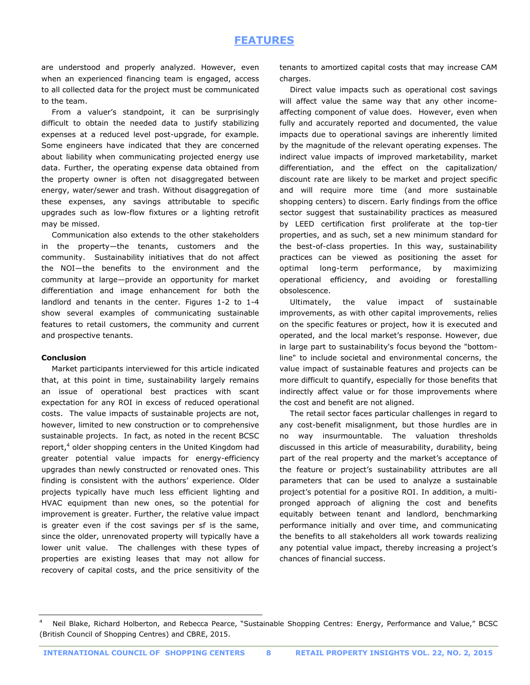are understood and properly analyzed. However, even when an experienced financing team is engaged, access to all collected data for the project must be communicated to the team.

 From a valuer's standpoint, it can be surprisingly difficult to obtain the needed data to justify stabilizing expenses at a reduced level post-upgrade, for example. Some engineers have indicated that they are concerned about liability when communicating projected energy use data. Further, the operating expense data obtained from the property owner is often not disaggregated between energy, water/sewer and trash. Without disaggregation of these expenses, any savings attributable to specific upgrades such as low-flow fixtures or a lighting retrofit may be missed.

 Communication also extends to the other stakeholders in the property—the tenants, customers and the community. Sustainability initiatives that do not affect the NOI—the benefits to the environment and the community at large—provide an opportunity for market differentiation and image enhancement for both the landlord and tenants in the center. Figures 1-2 to 1-4 show several examples of communicating sustainable features to retail customers, the community and current and prospective tenants.

#### **Conclusion**

 Market participants interviewed for this article indicated that, at this point in time, sustainability largely remains an issue of operational best practices with scant expectation for any ROI in excess of reduced operational costs. The value impacts of sustainable projects are not, however, limited to new construction or to comprehensive sustainable projects. In fact, as noted in the recent BCSC report,<sup>4</sup> older shopping centers in the United Kingdom had greater potential value impacts for energy-efficiency upgrades than newly constructed or renovated ones. This finding is consistent with the authors' experience. Older projects typically have much less efficient lighting and HVAC equipment than new ones, so the potential for improvement is greater. Further, the relative value impact is greater even if the cost savings per sf is the same, since the older, unrenovated property will typically have a lower unit value. The challenges with these types of properties are existing leases that may not allow for recovery of capital costs, and the price sensitivity of the

tenants to amortized capital costs that may increase CAM charges.

 Direct value impacts such as operational cost savings will affect value the same way that any other incomeaffecting component of value does. However, even when fully and accurately reported and documented, the value impacts due to operational savings are inherently limited by the magnitude of the relevant operating expenses. The indirect value impacts of improved marketability, market differentiation, and the effect on the capitalization/ discount rate are likely to be market and project specific and will require more time (and more sustainable shopping centers) to discern. Early findings from the office sector suggest that sustainability practices as measured by LEED certification first proliferate at the top-tier properties, and as such, set a new minimum standard for the best-of-class properties. In this way, sustainability practices can be viewed as positioning the asset for optimal long-term performance, by maximizing operational efficiency, and avoiding or forestalling obsolescence.

 Ultimately, the value impact of sustainable improvements, as with other capital improvements, relies on the specific features or project, how it is executed and operated, and the local market's response. However, due in large part to sustainability's focus beyond the "bottomline" to include societal and environmental concerns, the value impact of sustainable features and projects can be more difficult to quantify, especially for those benefits that indirectly affect value or for those improvements where the cost and benefit are not aligned.

 The retail sector faces particular challenges in regard to any cost-benefit misalignment, but those hurdles are in no way insurmountable. The valuation thresholds discussed in this article of measurability, durability, being part of the real property and the market's acceptance of the feature or project's sustainability attributes are all parameters that can be used to analyze a sustainable project's potential for a positive ROI. In addition, a multipronged approach of aligning the cost and benefits equitably between tenant and landlord, benchmarking performance initially and over time, and communicating the benefits to all stakeholders all work towards realizing any potential value impact, thereby increasing a project's chances of financial success.

<sup>4</sup> Neil Blake, Richard Holberton, and Rebecca Pearce, "Sustainable Shopping Centres: Energy, Performance and Value," BCSC (British Council of Shopping Centres) and CBRE, 2015.